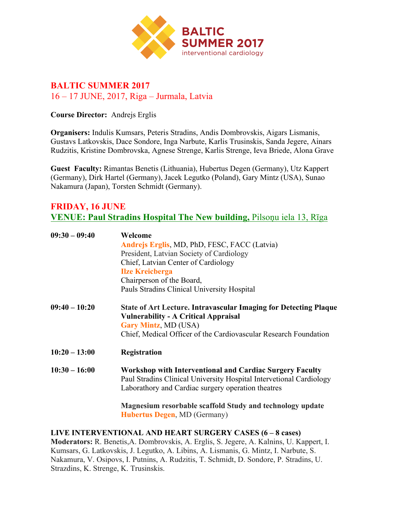

## **BALTIC SUMMER 2017** 16 – 17 JUNE, 2017, Riga – Jurmala, Latvia

**Course Director:** Andrejs Erglis

**Organisers:** Indulis Kumsars, Peteris Stradins, Andis Dombrovskis, Aigars Lismanis, Gustavs Latkovskis, Dace Sondore, Inga Narbute, Karlis Trusinskis, Sanda Jegere, Ainars Rudzitis, Kristine Dombrovska, Agnese Strenge, Karlis Strenge, Ieva Briede, Alona Grave

**Guest Faculty:** Rimantas Benetis (Lithuania), Hubertus Degen (Germany), Utz Kappert (Germany), Dirk Hartel (Germany), Jacek Legutko (Poland), Gary Mintz (USA), Sunao Nakamura (Japan), Torsten Schmidt (Germany).

### **FRIDAY, 16 JUNE VENUE: Paul Stradins Hospital The New building,** Pilsoņu iela 13, Rīga

| $09:30 - 09:40$ | Welcome                                                                                                                                                                                      |
|-----------------|----------------------------------------------------------------------------------------------------------------------------------------------------------------------------------------------|
|                 | Andrejs Erglis, MD, PhD, FESC, FACC (Latvia)                                                                                                                                                 |
|                 | President, Latvian Society of Cardiology                                                                                                                                                     |
|                 | Chief, Latvian Center of Cardiology                                                                                                                                                          |
|                 | <b>Ilze Kreicberga</b>                                                                                                                                                                       |
|                 | Chairperson of the Board,                                                                                                                                                                    |
|                 | Pauls Stradins Clinical University Hospital                                                                                                                                                  |
| $09:40 - 10:20$ | <b>State of Art Lecture. Intravascular Imaging for Detecting Plaque</b><br><b>Vulnerability - A Critical Appraisal</b>                                                                       |
|                 | <b>Gary Mintz, MD (USA)</b>                                                                                                                                                                  |
|                 | Chief, Medical Officer of the Cardiovascular Research Foundation                                                                                                                             |
| $10:20 - 13:00$ | Registration                                                                                                                                                                                 |
| $10:30 - 16:00$ | <b>Workshop with Interventional and Cardiac Surgery Faculty</b><br>Paul Stradins Clinical University Hospital Intervetional Cardiology<br>Laborathory and Cardiac surgery operation theatres |
|                 | <b>Magnesium resorbable scaffold Study and technology update</b>                                                                                                                             |

 **Hubertus Degen**, MD (Germany)

### **LIVE INTERVENTIONAL AND HEART SURGERY CASES (6 – 8 cases)**

**Moderators:** R. Benetis,A. Dombrovskis, A. Erglis, S. Jegere, A. Kalnins, U. Kappert, I. Kumsars, G. Latkovskis, J. Legutko, A. Libins, A. Lismanis, G. Mintz, I. Narbute, S. Nakamura, V. Osipovs, I. Putnins, A. Rudzitis, T. Schmidt, D. Sondore, P. Stradins, U. Strazdins, K. Strenge, K. Trusinskis.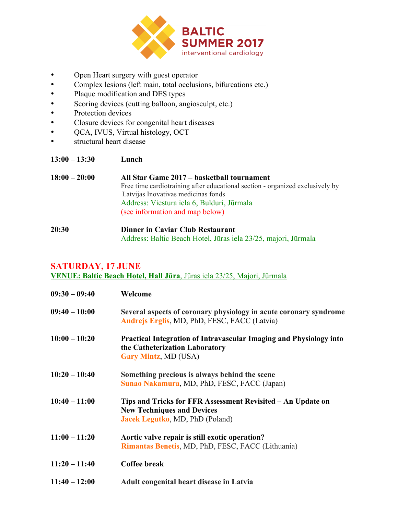

- Open Heart surgery with guest operator
- Complex lesions (left main, total occlusions, bifurcations etc.)<br>• Plaque modification and DES types
- Plaque modification and DES types
- Scoring devices (cutting balloon, angiosculpt, etc.)
- Protection devices
- Closure devices for congenital heart diseases
- QCA, IVUS, Virtual histology, OCT
- structural heart disease

| $13:00 - 13:30$ | Lunch                                                                         |
|-----------------|-------------------------------------------------------------------------------|
| $18:00 - 20:00$ | All Star Game 2017 – basketball tournament                                    |
|                 | Free time cardiotraining after educational section - organized exclusively by |
|                 | Latvijas Inovativas medicinas fonds                                           |
|                 | Address: Viestura iela 6, Bulduri, Jūrmala                                    |
|                 | (see information and map below)                                               |
|                 |                                                                               |

**20:30 Dinner in Caviar Club Restaurant** Address: Baltic Beach Hotel, Jūras iela 23/25, majori, Jūrmala

## **SATURDAY, 17 JUNE**

**VENUE: Baltic Beach Hotel, Hall Jūra**, Jūras iela 23/25, Majori, Jūrmala

| $09:30 - 09:40$ | Welcome                                                                                                                                    |
|-----------------|--------------------------------------------------------------------------------------------------------------------------------------------|
| $09:40 - 10:00$ | Several aspects of coronary physiology in acute coronary syndrome<br>Andrejs Erglis, MD, PhD, FESC, FACC (Latvia)                          |
| $10:00 - 10:20$ | Practical Integration of Intravascular Imaging and Physiology into<br>the Catheterization Laboratory<br><b>Gary Mintz, MD (USA)</b>        |
| $10:20 - 10:40$ | Something precious is always behind the scene<br>Sunao Nakamura, MD, PhD, FESC, FACC (Japan)                                               |
| $10:40 - 11:00$ | Tips and Tricks for FFR Assessment Revisited - An Update on<br><b>New Techniques and Devices</b><br><b>Jacek Legutko, MD, PhD (Poland)</b> |
| $11:00 - 11:20$ | Aortic valve repair is still exotic operation?<br><b>Rimantas Benetis, MD, PhD, FESC, FACC (Lithuania)</b>                                 |
| $11:20 - 11:40$ | <b>Coffee break</b>                                                                                                                        |
| $11:40 - 12:00$ | <b>Adult congenital heart disease in Latvia</b>                                                                                            |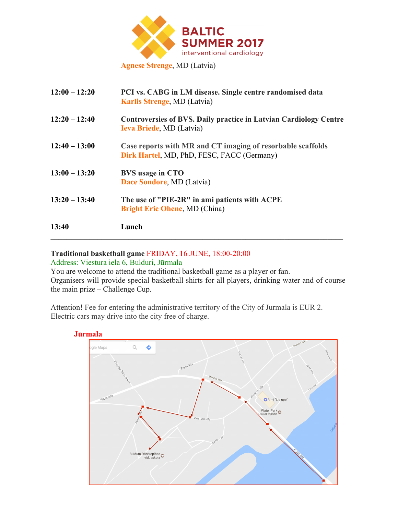

**12:00 – 12:20 PCI vs. CABG in LM disease. Single centre randomised data Karlis Strenge**, MD (Latvia) **12:20 – 12:40 Controversies of BVS. Daily practice in Latvian Cardiology Centre Ieva Briede**, MD (Latvia) **12:40 – 13:00 Case reports with MR and CT imaging of resorbable scaffolds Dirk Hartel**, MD, PhD, FESC, FACC (Germany) **13:00 – 13:20 BVS usage in CTO Dace Sondore**, MD (Latvia) **13:20 – 13:40 The use of "PIE-2R" in ami patients with ACPE Bright Eric Ohene**, MD (China) **13:40 Lunch**  $\mathcal{L} = \{ \mathcal{L} \mathcal{L} \mathcal{L} \mathcal{L} \mathcal{L} \mathcal{L} \mathcal{L} \mathcal{L} \mathcal{L} \mathcal{L} \mathcal{L} \mathcal{L} \mathcal{L} \mathcal{L} \mathcal{L} \mathcal{L} \mathcal{L} \mathcal{L} \mathcal{L} \mathcal{L} \mathcal{L} \mathcal{L} \mathcal{L} \mathcal{L} \mathcal{L} \mathcal{L} \mathcal{L} \mathcal{L} \mathcal{L} \mathcal{L} \mathcal{L} \mathcal{L} \mathcal{L} \mathcal{L} \mathcal{L} \$ 

# **Traditional basketball game** FRIDAY, 16 JUNE, 18:00-20:00

### Address: Viestura iela 6, Bulduri, Jūrmala

You are welcome to attend the traditional basketball game as a player or fan. Organisers will provide special basketball shirts for all players, drinking water and of course the main prize – Challenge Cup.

Attention! Fee for entering the administrative territory of the City of Jurmala is EUR 2. Electric cars may drive into the city free of charge.

### **Jūrmala**